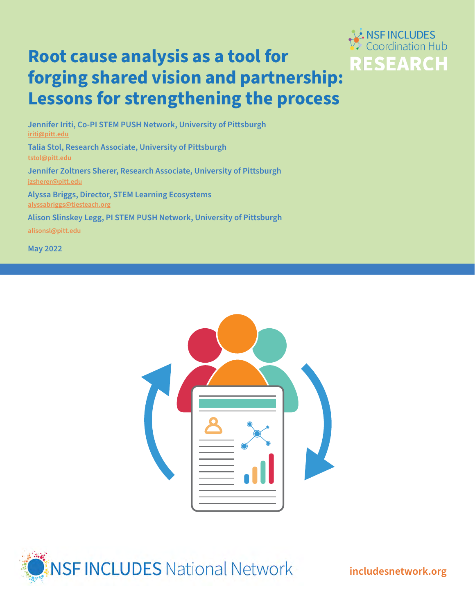# **Root cause analysis as a tool for forging shared vision and partnership: Lessons for strengthening the process**



**Jennifer Iriti, Co-PI STEM PUSH Network, University of Pittsburgh [iriti@pitt.edu](mailto:iriti@pitt.edu) Talia Stol, Research Associate, University of Pittsburgh [tstol@pitt.edu](mailto:tstol@pitt.edu) Jennifer Zoltners Sherer, Research Associate, University of Pittsburgh [jzsherer@pitt.edu](mailto:jzsherer@pitt.edu) Alyssa Briggs, Director, STEM Learning Ecosystems [alyssabriggs@tiesteach.org](mailto:jzsherer@pitt.edu)**

**Alison Slinskey Legg, PI STEM PUSH Network, University of Pittsburgh**

**[alisonsl@pitt.edu](mailto:alisonsl@pitt.edu)**

**May 2022**





**[includesnetwork.org](http://includesnetwork.org)**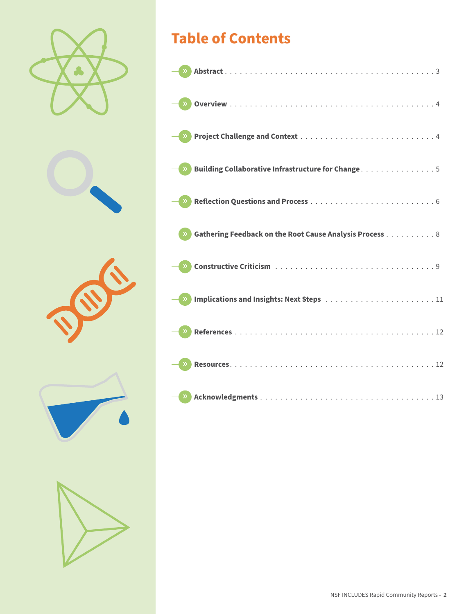









# **Table of Contents**

|       | Building Collaborative Infrastructure for Change5       |  |
|-------|---------------------------------------------------------|--|
|       |                                                         |  |
|       | Gathering Feedback on the Root Cause Analysis Process 8 |  |
|       |                                                         |  |
|       |                                                         |  |
|       |                                                         |  |
|       |                                                         |  |
| $\gg$ |                                                         |  |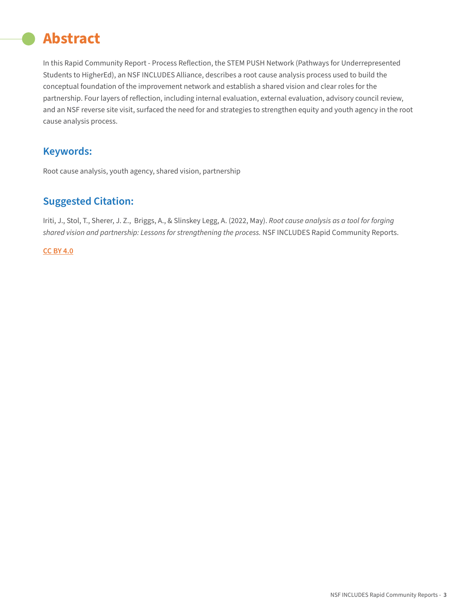# <span id="page-2-0"></span>**Abstract**

In this Rapid Community Report - Process Reflection, the STEM PUSH Network (Pathways for Underrepresented Students to HigherEd), an NSF INCLUDES Alliance, describes a root cause analysis process used to build the conceptual foundation of the improvement network and establish a shared vision and clear roles for the partnership. Four layers of reflection, including internal evaluation, external evaluation, advisory council review, and an NSF reverse site visit, surfaced the need for and strategies to strengthen equity and youth agency in the root cause analysis process.

## **Keywords:**

Root cause analysis, youth agency, shared vision, partnership

## **Suggested Citation:**

Iriti, J., Stol, T., Sherer, J. Z., Briggs, A., & Slinskey Legg, A. (2022, May).*Root cause analysis as a tool for forging shared vision and partnership: Lessons for strengthening the process.* NSF INCLUDES Rapid Community Reports.

#### **[CC BY 4.0](https://creativecommons.org/licenses/by/4.0/)**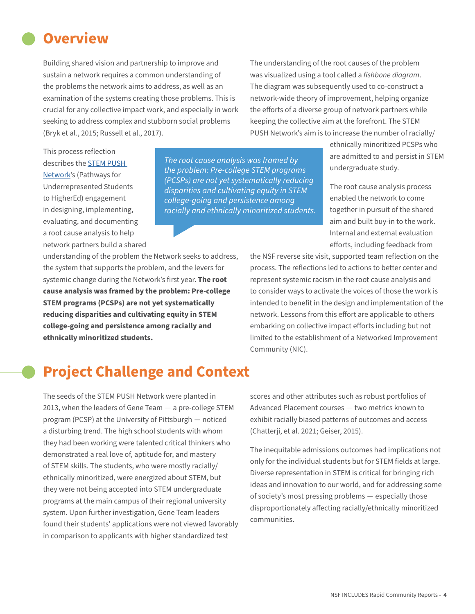## <span id="page-3-0"></span>**Overview**

Building shared vision and partnership to improve and sustain a network requires a common understanding of the problems the network aims to address, as well as an examination of the systems creating those problems. This is crucial for any collective impact work, and especially in work seeking to address complex and stubborn social problems (Bryk et al., 2015; Russell et al., 2017).

The understanding of the root causes of the problem was visualized using a tool called a *fishbone diagram*. The diagram was subsequently used to co-construct a network-wide theory of improvement, helping organize the efforts of a diverse group of network partners while keeping the collective aim at the forefront. The STEM PUSH Network's aim is to increase the number of racially/

This process reflection describes the [STEM PUSH](https://www.stempushnetwork.org/)  [Network'](https://www.stempushnetwork.org/)s (Pathways for Underrepresented Students to HigherEd) engagement in designing, implementing, evaluating, and documenting a root cause analysis to help network partners build a shared

*The root cause analysis was framed by the problem: Pre-college STEM programs (PCSPs) are not yet systematically reducing disparities and cultivating equity in STEM college-going and persistence among racially and ethnically minoritized students.*

understanding of the problem the Network seeks to address, the system that supports the problem, and the levers for systemic change during the Network's first year.**The root cause analysis was framed by the problem: Pre-college STEM programs (PCSPs) are not yet systematically reducing disparities and cultivating equity in STEM college-going and persistence among racially and ethnically minoritized students.**

ethnically minoritized PCSPs who are admitted to and persist in STEM undergraduate study.

The root cause analysis process enabled the network to come together in pursuit of the shared aim and built buy-in to the work. Internal and external evaluation efforts, including feedback from

the NSF reverse site visit, supported team reflection on the process. The reflections led to actions to better center and represent systemic racism in the root cause analysis and to consider ways to activate the voices of those the work is intended to benefit in the design and implementation of the network. Lessons from this effort are applicable to others embarking on collective impact efforts including but not limited to the establishment of a Networked Improvement Community (NIC).

## **Project Challenge and Context**

The seeds of the STEM PUSH Network were planted in 2013, when the leaders of Gene Team — a pre-college STEM program (PCSP) at the University of Pittsburgh — noticed a disturbing trend. The high school students with whom they had been working were talented critical thinkers who demonstrated a real love of, aptitude for, and mastery of STEM skills. The students, who were mostly racially/ ethnically minoritized, were energized about STEM, but they were not being accepted into STEM undergraduate programs at the main campus of their regional university system. Upon further investigation, Gene Team leaders found their students' applications were not viewed favorably in comparison to applicants with higher standardized test

scores and other attributes such as robust portfolios of Advanced Placement courses — two metrics known to exhibit racially biased patterns of outcomes and access (Chatterji, et al. 2021; Geiser, 2015).

The inequitable admissions outcomes had implications not only for the individual students but for STEM fields at large. Diverse representation in STEM is critical for bringing rich ideas and innovation to our world, and for addressing some of society's most pressing problems — especially those disproportionately affecting racially/ethnically minoritized communities.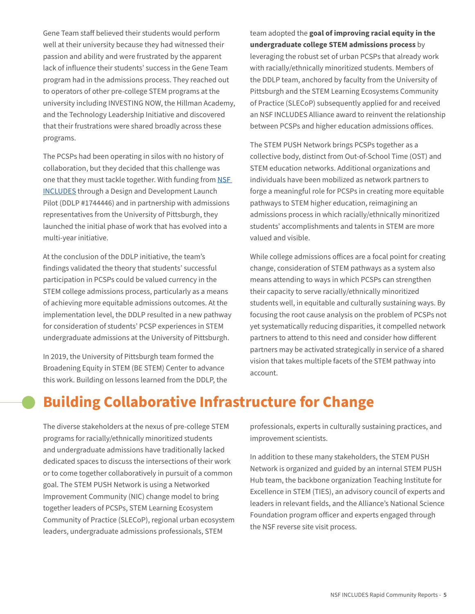<span id="page-4-0"></span>Gene Team staff believed their students would perform well at their university because they had witnessed their passion and ability and were frustrated by the apparent lack of influence their students' success in the Gene Team program had in the admissions process. They reached out to operators of other pre-college STEM programs at the university including INVESTING NOW, the Hillman Academy, and the Technology Leadership Initiative and discovered that their frustrations were shared broadly across these programs.

The PCSPs had been operating in silos with no history of collaboration, but they decided that this challenge was one that they must tackle together. With funding from NSF [INCLUDES](https://www.includesnetwork.org/home ) through a Design and Development Launch Pilot (DDLP #1744446) and in partnership with admissions representatives from the University of Pittsburgh, they launched the initial phase of work that has evolved into a multi-year initiative.

At the conclusion of the DDLP initiative, the team's findings validated the theory that students' successful participation in PCSPs could be valued currency in the STEM college admissions process, particularly as a means of achieving more equitable admissions outcomes. At the implementation level, the DDLP resulted in a new pathway for consideration of students' PCSP experiences in STEM undergraduate admissions at the University of Pittsburgh.

In 2019, the University of Pittsburgh team formed the Broadening Equity in STEM (BE STEM) Center to advance this work. Building on lessons learned from the DDLP, the team adopted the **goal of improving racial equity in the undergraduate college STEM admissions process** by leveraging the robust set of urban PCSPs that already work with racially/ethnically minoritized students. Members of the DDLP team, anchored by faculty from the University of Pittsburgh and the STEM Learning Ecosystems Community of Practice (SLECoP) subsequently applied for and received an NSF INCLUDES Alliance award to reinvent the relationship between PCSPs and higher education admissions offices.

The STEM PUSH Network brings PCSPs together as a collective body, distinct from Out-of-School Time (OST) and STEM education networks. Additional organizations and individuals have been mobilized as network partners to forge a meaningful role for PCSPs in creating more equitable pathways to STEM higher education, reimagining an admissions process in which racially/ethnically minoritized students' accomplishments and talents in STEM are more valued and visible.

While college admissions offices are a focal point for creating change, consideration of STEM pathways as a system also means attending to ways in which PCSPs can strengthen their capacity to serve racially/ethnically minoritized students well, in equitable and culturally sustaining ways. By focusing the root cause analysis on the problem of PCSPs not yet systematically reducing disparities, it compelled network partners to attend to this need and consider how different partners may be activated strategically in service of a shared vision that takes multiple facets of the STEM pathway into account.

# **Building Collaborative Infrastructure for Change**

The diverse stakeholders at the nexus of pre-college STEM programs for racially/ethnically minoritized students and undergraduate admissions have traditionally lacked dedicated spaces to discuss the intersections of their work or to come together collaboratively in pursuit of a common goal. The STEM PUSH Network is using a Networked Improvement Community (NIC) change model to bring together leaders of PCSPs, STEM Learning Ecosystem Community of Practice (SLECoP), regional urban ecosystem leaders, undergraduate admissions professionals, STEM

professionals, experts in culturally sustaining practices, and improvement scientists.

In addition to these many stakeholders, the STEM PUSH Network is organized and guided by an internal STEM PUSH Hub team, the backbone organization Teaching Institute for Excellence in STEM (TIES), an advisory council of experts and leaders in relevant fields, and the Alliance's National Science Foundation program officer and experts engaged through the NSF reverse site visit process.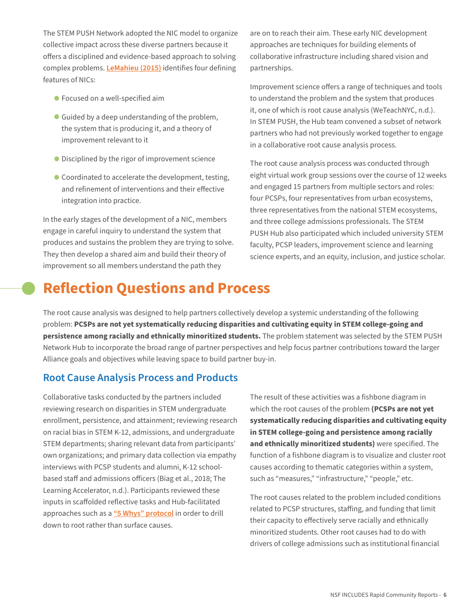<span id="page-5-0"></span>The STEM PUSH Network adopted the NIC model to organize collective impact across these diverse partners because it offers a disciplined and evidence-based approach to solving complex problems.**[LeMahieu \(2015\)](https://www.carnegiefoundation.org/blog/why-a-nic/)** identifies four defining features of NICs:

- **•** Focused on a well-specified aim
- **•** Guided by a deep understanding of the problem, the system that is producing it, and a theory of improvement relevant to it
- **•** Disciplined by the rigor of improvement science
- **•** Coordinated to accelerate the development, testing, and refinement of interventions and their effective integration into practice.

In the early stages of the development of a NIC, members engage in careful inquiry to understand the system that produces and sustains the problem they are trying to solve. They then develop a shared aim and build their theory of improvement so all members understand the path they

are on to reach their aim. These early NIC development approaches are techniques for building elements of collaborative infrastructure including shared vision and partnerships.

Improvement science offers a range of techniques and tools to understand the problem and the system that produces it, one of which is root cause analysis (WeTeachNYC, n.d.). In STEM PUSH, the Hub team convened a subset of network partners who had not previously worked together to engage in a collaborative root cause analysis process.

The root cause analysis process was conducted through eight virtual work group sessions over the course of 12 weeks and engaged 15 partners from multiple sectors and roles: four PCSPs, four representatives from urban ecosystems, three representatives from the national STEM ecosystems, and three college admissions professionals. The STEM PUSH Hub also participated which included university STEM faculty, PCSP leaders, improvement science and learning science experts, and an equity, inclusion, and justice scholar.

## **Reflection Questions and Process**

The root cause analysis was designed to help partners collectively develop a systemic understanding of the following problem: **PCSPs are not yet systematically reducing disparities and cultivating equity in STEM college-going and persistence among racially and ethnically minoritized students.** The problem statement was selected by the STEM PUSH Network Hub to incorporate the broad range of partner perspectives and help focus partner contributions toward the larger Alliance goals and objectives while leaving space to build partner buy-in.

### **Root Cause Analysis Process and Products**

Collaborative tasks conducted by the partners included reviewing research on disparities in STEM undergraduate enrollment, persistence, and attainment; reviewing research on racial bias in STEM K-12, admissions, and undergraduate STEM departments; sharing relevant data from participants' own organizations; and primary data collection via empathy interviews with PCSP students and alumni, K-12 schoolbased staff and admissions officers (Biag et al., 2018; The Learning Accelerator, n.d.). Participants reviewed these inputs in scaffolded reflective tasks and Hub-facilitated approaches such as a **["5 Whys" protocol](https://www.mindtools.com/pages/article/newTMC_5W.htm)** in order to drill down to root rather than surface causes.

The result of these activities was a fishbone diagram in which the root causes of the problem **(PCSPs are not yet systematically reducing disparities and cultivating equity in STEM college-going and persistence among racially and ethnically minoritized students)** were specified. The function of a fishbone diagram is to visualize and cluster root causes according to thematic categories within a system, such as "measures," "infrastructure," "people," etc.

The root causes related to the problem included conditions related to PCSP structures, staffing, and funding that limit their capacity to effectively serve racially and ethnically minoritized students. Other root causes had to do with drivers of college admissions such as institutional financial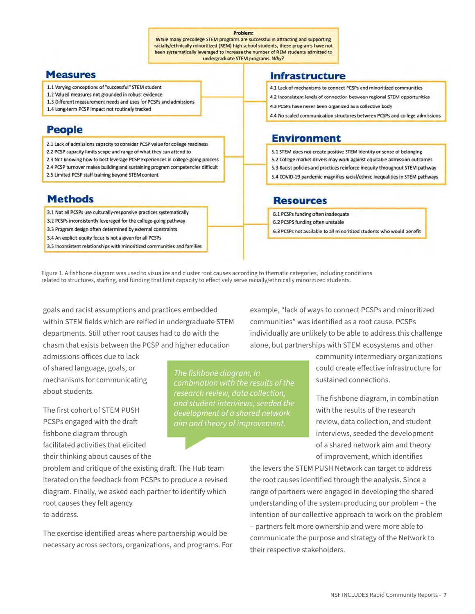#### Problem:

While many precollege STEM programs are successful in attracting and supporting racially/ethnically minoritized (REM) high school students, these programs have not been systematically leveraged to increase the number of REM students admitted to undergraduate STEM programs. Why?

#### **Measures**

- 1.1 Varying conceptions of "successful" STEM student
- 1.2 Valued measures not grounded in robust evidence
- 1.3 Different measurement needs and uses for PCSPs and admissions
- 1.4 Long-term PCSP impact not routinely tracked

## **People**

2.1 Lack of admissions capacity to consider PCSP value for college readiness

- 2.2 PCSP capacity limits scope and range of what they can attend to
- 2.3 Not knowing how to best leverage PCSP experiences in college-going process 2.4 PCSP turnover makes building and sustaining program competencies difficult
- 2.5 Limited PCSP staff training beyond STEM content

### **Methods**

3.1 Not all PCSPs use culturally-responsive practices systematically

- 3.2 PCSPs inconsistently leveraged for the college-going pathway
- 3.3 Program design often determined by external constraints
- 3.4 An explicit equity focus is not a given for all PCSPs
- 3.5 Inconsistent relationships with minoritized communities and families

#### **Infrastructure**

- 4.1 Lack of mechanisms to connect PCSPs and minoritized communities
- 4.2 Inconsistent levels of connection between regional STEM opportunities
- 4.3 PCSPs have never been organized as a collective body
- 4.4 No scaled communication structures between PCSPs and college admissions

### **Environment**

5.1 STEM does not create positive STEM identity or sense of belonging 5.2 College market drivers may work against equitable admission outcomes 5.3 Racist policies and practices reinforce inequity throughout STEM pathway 5.4 COVID-19 pandemic magnifies racial/ethnic inequalities in STEM pathways

### **Resources**

6.1 PCSPs funding often inadequate 6.2 PCSPS funding often unstable

- 
- 6.3 PCSPs not available to all minoritized students who would benefit

Figure 1. A fishbone diagram was used to visualize and cluster root causes according to thematic categories, including conditions related to structures, staffing, and funding that limit capacity to effectively serve racially/ethnically minoritized students.

goals and racist assumptions and practices embedded within STEM fields which are reified in undergraduate STEM departments. Still other root causes had to do with the chasm that exists between the PCSP and higher education

admissions offices due to lack of shared language, goals, or mechanisms for communicating about students.

The first cohort of STEM PUSH PCSPs engaged with the draft fishbone diagram through facilitated activities that elicited their thinking about causes of the *The fishbone diagram, in combination with the results of the research review, data collection, and student interviews, seeded the development of a shared network* 

example, "lack of ways to connect PCSPs and minoritized communities" was identified as a root cause. PCSPs individually are unlikely to be able to address this challenge alone, but partnerships with STEM ecosystems and other

> community intermediary organizations could create effective infrastructure for sustained connections.

The fishbone diagram, in combination with the results of the research review, data collection, and student interviews, seeded the development of a shared network aim and theory of improvement, which identifies

problem and critique of the existing draft. The Hub team iterated on the feedback from PCSPs to produce a revised diagram. Finally, we asked each partner to identify which root causes they felt agency to address.

The exercise identified areas where partnership would be necessary across sectors, organizations, and programs. For the levers the STEM PUSH Network can target to address the root causes identified through the analysis. Since a range of partners were engaged in developing the shared understanding of the system producing our problem – the intention of our collective approach to work on the problem – partners felt more ownership and were more able to communicate the purpose and strategy of the Network to their respective stakeholders.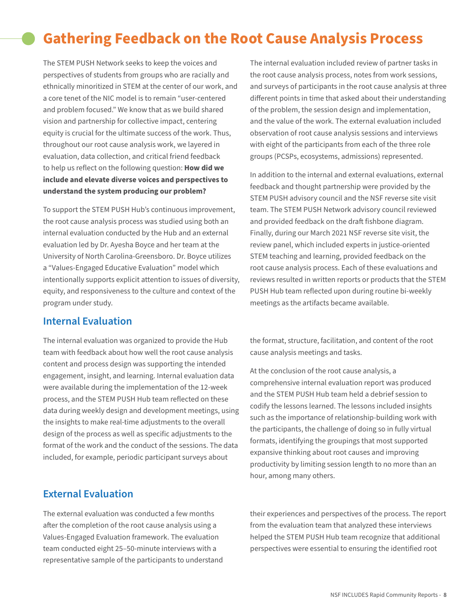# <span id="page-7-0"></span>**Gathering Feedback on the Root Cause Analysis Process**

The STEM PUSH Network seeks to keep the voices and perspectives of students from groups who are racially and ethnically minoritized in STEM at the center of our work, and a core tenet of the NIC model is to remain "user-centered and problem focused." We know that as we build shared vision and partnership for collective impact, centering equity is crucial for the ultimate success of the work. Thus, throughout our root cause analysis work, we layered in evaluation, data collection, and critical friend feedback to help us reflect on the following question: **How did we include and elevate diverse voices and perspectives to understand the system producing our problem?**

To support the STEM PUSH Hub's continuous improvement, the root cause analysis process was studied using both an internal evaluation conducted by the Hub and an external evaluation led by Dr. Ayesha Boyce and her team at the University of North Carolina-Greensboro. Dr. Boyce utilizes a "Values-Engaged Educative Evaluation" model which intentionally supports explicit attention to issues of diversity, equity, and responsiveness to the culture and context of the program under study.

### **Internal Evaluation**

The internal evaluation was organized to provide the Hub team with feedback about how well the root cause analysis content and process design was supporting the intended engagement, insight, and learning. Internal evaluation data were available during the implementation of the 12-week process, and the STEM PUSH Hub team reflected on these data during weekly design and development meetings, using the insights to make real-time adjustments to the overall design of the process as well as specific adjustments to the format of the work and the conduct of the sessions. The data included, for example, periodic participant surveys about

### **External Evaluation**

The external evaluation was conducted a few months after the completion of the root cause analysis using a Values-Engaged Evaluation framework. The evaluation team conducted eight 25–50-minute interviews with a representative sample of the participants to understand The internal evaluation included review of partner tasks in the root cause analysis process, notes from work sessions, and surveys of participants in the root cause analysis at three different points in time that asked about their understanding of the problem, the session design and implementation, and the value of the work. The external evaluation included observation of root cause analysis sessions and interviews with eight of the participants from each of the three role groups (PCSPs, ecosystems, admissions) represented.

In addition to the internal and external evaluations, external feedback and thought partnership were provided by the STEM PUSH advisory council and the NSF reverse site visit team. The STEM PUSH Network advisory council reviewed and provided feedback on the draft fishbone diagram. Finally, during our March 2021 NSF reverse site visit, the review panel, which included experts in justice-oriented STEM teaching and learning, provided feedback on the root cause analysis process. Each of these evaluations and reviews resulted in written reports or products that the STEM PUSH Hub team reflected upon during routine bi-weekly meetings as the artifacts became available.

the format, structure, facilitation, and content of the root cause analysis meetings and tasks.

At the conclusion of the root cause analysis, a comprehensive internal evaluation report was produced and the STEM PUSH Hub team held a debrief session to codify the lessons learned. The lessons included insights such as the importance of relationship-building work with the participants, the challenge of doing so in fully virtual formats, identifying the groupings that most supported expansive thinking about root causes and improving productivity by limiting session length to no more than an hour, among many others.

their experiences and perspectives of the process. The report from the evaluation team that analyzed these interviews helped the STEM PUSH Hub team recognize that additional perspectives were essential to ensuring the identified root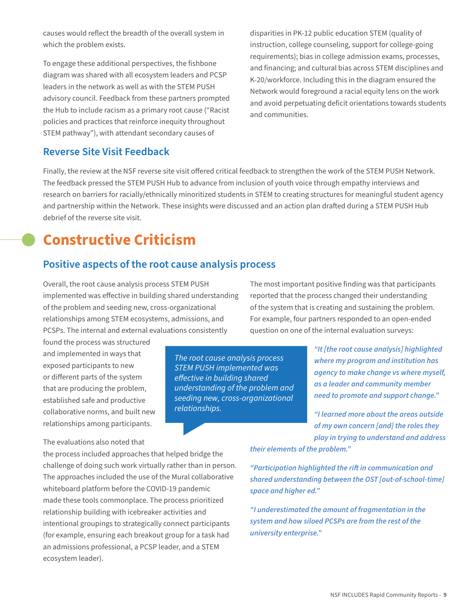<span id="page-8-0"></span>causes would reflect the breadth of the overall system in which the problem exists.

To engage these additional perspectives, the fishbone diagram was shared with all ecosystem leaders and PCSP leaders in the network as well as with the STEM PUSH advisory council. Feedback from these partners prompted the Hub to include racism as a primary root cause ("Racist policies and practices that reinforce inequity throughout STEM pathway"), with attendant secondary causes of

disparities in PK-12 public education STEM (quality of instruction, college counseling, support for college-going requirements); bias in college admission exams, processes, and financing; and cultural bias across STEM disciplines and K-20/workforce. Including this in the diagram ensured the Network would foreground a racial equity lens on the work and avoid perpetuating deficit orientations towards students and communities.

### **Reverse Site Visit Feedback**

Finally, the review at the NSF reverse site visit offered critical feedback to strengthen the work of the STEM PUSH Network. The feedback pressed the STEM PUSH Hub to advance from inclusion of youth voice through empathy interviews and research on barriers for racially/ethnically minoritized students in STEM to creating structures for meaningful student agency and partnership within the Network. These insights were discussed and an action plan drafted during a STEM PUSH Hub debrief of the reverse site visit.

## **Constructive Criticism**

### **Positive aspects of the root cause analysis process**

Overall, the root cause analysis process STEM PUSH implemented was effective in building shared understanding of the problem and seeding new, cross-organizational relationships among STEM ecosystems, admissions, and PCSPs. The internal and external evaluations consistently

the process included approaches that helped bridge the

(for example, ensuring each breakout group for a task had an admissions professional, a PCSP leader, and a STEM

found the process was structured and implemented in ways that exposed participants to new or different parts of the system that are producing the problem, established safe and productive collaborative norms, and built new relationships among participants.

The evaluations also noted that

ecosystem leader).

*The root cause analysis process STEM PUSH implemented was effective in building shared understanding of the problem and seeding new, cross-organizational relationships.*

The most important positive finding was that participants reported that the process changed their understanding of the system that is creating and sustaining the problem. For example, four partners responded to an open-ended question on one of the internal evaluation surveys:

> *"It [the root cause analysis] highlighted where my program and institution has agency to make change vs where myself, as a leader and community member need to promote and support change."*

*"I learned more about the areas outside of my own concern [and] the roles they play in trying to understand and address* 

*their elements of the problem."*

challenge of doing such work virtually rather than in person. The approaches included the use of the Mural collaborative whiteboard platform before the COVID-19 pandemic made these tools commonplace. The process prioritized relationship building with icebreaker activities and intentional groupings to strategically connect participants *"Participation highlighted the rift in communication and shared understanding between the OST [out-of-school-time] space and higher ed."*

*"I underestimated the amount of fragmentation in the system and how siloed PCSPs are from the rest of the university enterprise."*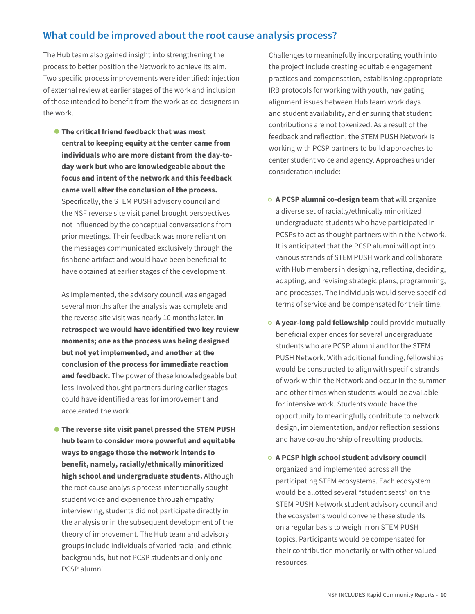## **What could be improved about the root cause analysis process?**

The Hub team also gained insight into strengthening the process to better position the Network to achieve its aim. Two specific process improvements were identified: injection of external review at earlier stages of the work and inclusion of those intended to benefit from the work as co-designers in the work.

**• The critical friend feedback that was most central to keeping equity at the center came from individuals who are more distant from the day-today work but who are knowledgeable about the focus and intent of the network and this feedback came well after the conclusion of the process.** Specifically, the STEM PUSH advisory council and the NSF reverse site visit panel brought perspectives not influenced by the conceptual conversations from prior meetings. Their feedback was more reliant on the messages communicated exclusively through the fishbone artifact and would have been beneficial to have obtained at earlier stages of the development.

As implemented, the advisory council was engaged several months after the analysis was complete and the reverse site visit was nearly 10 months later.**In retrospect we would have identified two key review moments; one as the process was being designed but not yet implemented, and another at the conclusion of the process for immediate reaction and feedback.** The power of these knowledgeable but less-involved thought partners during earlier stages could have identified areas for improvement and accelerated the work.

**• The reverse site visit panel pressed the STEM PUSH hub team to consider more powerful and equitable ways to engage those the network intends to benefit, namely, racially/ethnically minoritized high school and undergraduate students.** Although the root cause analysis process intentionally sought student voice and experience through empathy interviewing, students did not participate directly in the analysis or in the subsequent development of the theory of improvement. The Hub team and advisory groups include individuals of varied racial and ethnic backgrounds, but not PCSP students and only one PCSP alumni.

Challenges to meaningfully incorporating youth into the project include creating equitable engagement practices and compensation, establishing appropriate IRB protocols for working with youth, navigating alignment issues between Hub team work days and student availability, and ensuring that student contributions are not tokenized. As a result of the feedback and reflection, the STEM PUSH Network is working with PCSP partners to build approaches to center student voice and agency. Approaches under consideration include:

- **◦ A PCSP alumni co-design team** that will organize a diverse set of racially/ethnically minoritized undergraduate students who have participated in PCSPs to act as thought partners within the Network. It is anticipated that the PCSP alumni will opt into various strands of STEM PUSH work and collaborate with Hub members in designing, reflecting, deciding, adapting, and revising strategic plans, programming, and processes. The individuals would serve specified terms of service and be compensated for their time.
- **◦ A year-long paid fellowship** could provide mutually beneficial experiences for several undergraduate students who are PCSP alumni and for the STEM PUSH Network. With additional funding, fellowships would be constructed to align with specific strands of work within the Network and occur in the summer and other times when students would be available for intensive work. Students would have the opportunity to meaningfully contribute to network design, implementation, and/or reflection sessions and have co-authorship of resulting products.
- **◦ A PCSP high school student advisory council** organized and implemented across all the participating STEM ecosystems. Each ecosystem would be allotted several "student seats" on the STEM PUSH Network student advisory council and the ecosystems would convene these students on a regular basis to weigh in on STEM PUSH topics. Participants would be compensated for their contribution monetarily or with other valued resources.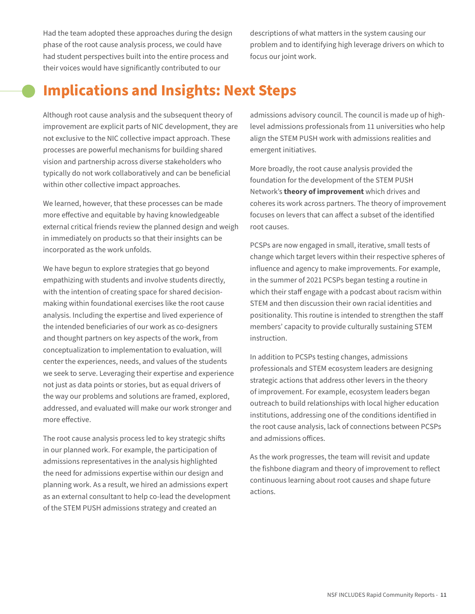<span id="page-10-0"></span>Had the team adopted these approaches during the design phase of the root cause analysis process, we could have had student perspectives built into the entire process and their voices would have significantly contributed to our

descriptions of what matters in the system causing our problem and to identifying high leverage drivers on which to focus our joint work.

## **Implications and Insights: Next Steps**

Although root cause analysis and the subsequent theory of improvement are explicit parts of NIC development, they are not exclusive to the NIC collective impact approach. These processes are powerful mechanisms for building shared vision and partnership across diverse stakeholders who typically do not work collaboratively and can be beneficial within other collective impact approaches.

We learned, however, that these processes can be made more effective and equitable by having knowledgeable external critical friends review the planned design and weigh in immediately on products so that their insights can be incorporated as the work unfolds.

We have begun to explore strategies that go beyond empathizing with students and involve students directly, with the intention of creating space for shared decisionmaking within foundational exercises like the root cause analysis. Including the expertise and lived experience of the intended beneficiaries of our work as co-designers and thought partners on key aspects of the work, from conceptualization to implementation to evaluation, will center the experiences, needs, and values of the students we seek to serve. Leveraging their expertise and experience not just as data points or stories, but as equal drivers of the way our problems and solutions are framed, explored, addressed, and evaluated will make our work stronger and more effective.

The root cause analysis process led to key strategic shifts in our planned work. For example, the participation of admissions representatives in the analysis highlighted the need for admissions expertise within our design and planning work. As a result, we hired an admissions expert as an external consultant to help co-lead the development of the STEM PUSH admissions strategy and created an

admissions advisory council. The council is made up of highlevel admissions professionals from 11 universities who help align the STEM PUSH work with admissions realities and emergent initiatives.

More broadly, the root cause analysis provided the foundation for the development of the STEM PUSH Network's **theory of improvement** which drives and coheres its work across partners. The theory of improvement focuses on levers that can affect a subset of the identified root causes.

PCSPs are now engaged in small, iterative, small tests of change which target levers within their respective spheres of influence and agency to make improvements. For example, in the summer of 2021 PCSPs began testing a routine in which their staff engage with a podcast about racism within STEM and then discussion their own racial identities and positionality. This routine is intended to strengthen the staff members' capacity to provide culturally sustaining STEM instruction.

In addition to PCSPs testing changes, admissions professionals and STEM ecosystem leaders are designing strategic actions that address other levers in the theory of improvement. For example, ecosystem leaders began outreach to build relationships with local higher education institutions, addressing one of the conditions identified in the root cause analysis, lack of connections between PCSPs and admissions offices.

As the work progresses, the team will revisit and update the fishbone diagram and theory of improvement to reflect continuous learning about root causes and shape future actions.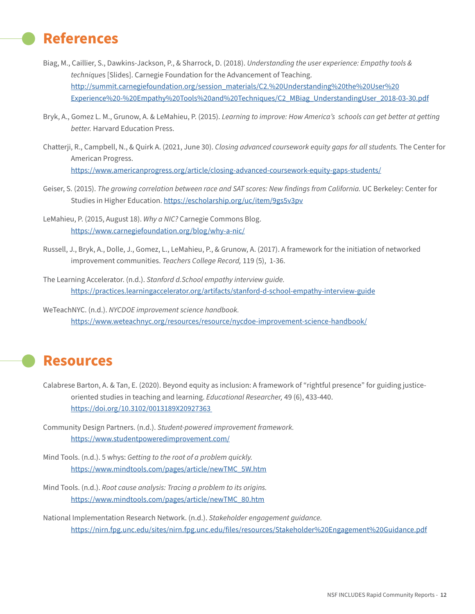## <span id="page-11-0"></span>**References**

- Biag, M., Caillier, S., Dawkins-Jackson, P., & Sharrock, D. (2018).*Understanding the user experience: Empathy tools & technique*s [Slides]. Carnegie Foundation for the Advancement of Teaching. [http://summit.carnegiefoundation.org/session\\_materials/C2.%20Understanding%20the%20User%20](http://summit.carnegiefoundation.org/session_materials/C2. Understanding the User Experience - Empathy Tools and Techniques/C2_MBiag_UnderstandingUser_2018-03-30.pdf) [Experience%20-%20Empathy%20Tools%20and%20Techniques/C2\\_MBiag\\_UnderstandingUser\\_2018-03-30.pdf](http://summit.carnegiefoundation.org/session_materials/C2. Understanding the User Experience - Empathy Tools and Techniques/C2_MBiag_UnderstandingUser_2018-03-30.pdf)
- Bryk, A., Gomez L. M., Grunow, A. & LeMahieu, P. (2015).*Learning to improve: How America's schools can get better at getting better.* Harvard Education Press.
- Chatterji, R., Campbell, N., & Quirk A. (2021, June 30).*Closing advanced coursework equity gaps for all students.* The Center for American Progress. <https://www.americanprogress.org/article/closing-advanced-coursework-equity-gaps-students/>
- Geiser, S. (2015).*The growing correlation between race and SAT scores: New findings from California.* UC Berkeley: Center for Studies in Higher Education. <https://escholarship.org/uc/item/9gs5v3pv>
- LeMahieu, P. (2015, August 18).*Why a NIC?* Carnegie Commons Blog. <https://www.carnegiefoundation.org/blog/why-a-nic/>
- Russell, J., Bryk, A., Dolle, J., Gomez, L., LeMahieu, P., & Grunow, A. (2017). A framework for the initiation of networked improvement communities.*Teachers College Record,* 119 (5), 1-36.
- The Learning Accelerator. (n.d.).*Stanford d.School empathy interview guide.* <https://practices.learningaccelerator.org/artifacts/stanford-d-school-empathy-interview-guide>
- WeTeachNYC. (n.d.).*NYCDOE improvement science handbook.* <https://www.weteachnyc.org/resources/resource/nycdoe-improvement-science-handbook/>

## **Resources**

- Calabrese Barton, A. & Tan, E. (2020). Beyond equity as inclusion: A framework of "rightful presence" for guiding justiceoriented studies in teaching and learning.*Educational Researcher,* 49 (6), 433-440. [https://doi.org/10.3102/0013189X20927363](https://doi.org/10.3102/0013189X20927363 )
- Community Design Partners. (n.d.).*Student-powered improvement framework.* <https://www.studentpoweredimprovement.com/>
- Mind Tools. (n.d.). 5 whys: *Getting to the root of a problem quickly.* [https://www.mindtools.com/pages/article/newTMC\\_5W.htm](https://www.mindtools.com/pages/article/newTMC_5W.htm)
- Mind Tools. (n.d.).*Root cause analysis: Tracing a problem to its origins.* [https://www.mindtools.com/pages/article/newTMC\\_80.htm](https://www.mindtools.com/pages/article/newTMC_80.htm)

National Implementation Research Network. (n.d.).*Stakeholder engagement guidance.* <https://nirn.fpg.unc.edu/sites/nirn.fpg.unc.edu/files/resources/Stakeholder%20Engagement%20Guidance.pdf>